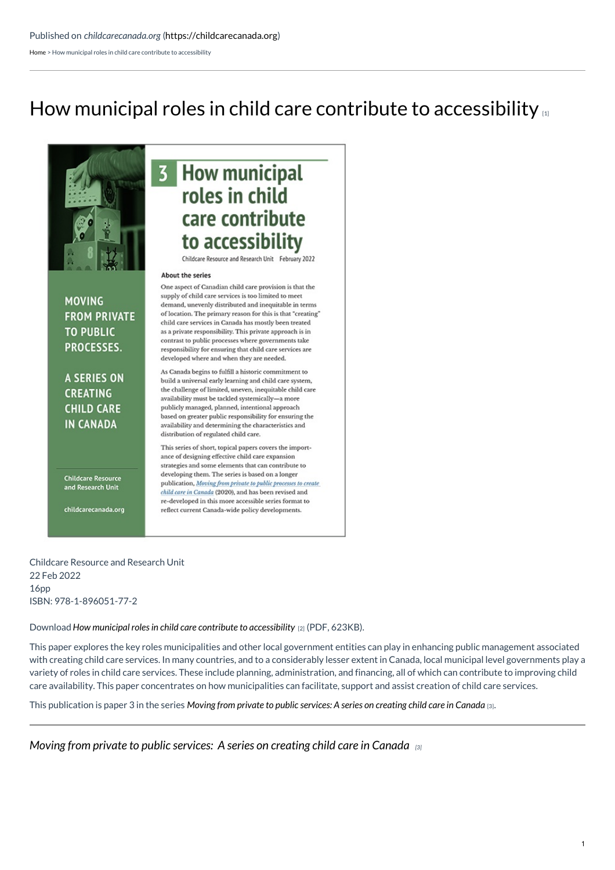[Home](https://childcarecanada.org/) > How municipal roles in child care contribute to accessibility

# How municipal roles in child care contribute to [accessibility](https://childcarecanada.org/publications/other-publications/22/02/how-municipal-roles-child-care-contribute-accessibility)



**MOVING FROM PRIVATE TO PUBLIC** PROCESSES.

**A SERIES ON CREATING CHILD CARE IN CANADA** 

**Childcare Resource** and Research Unit

childcarecanada.org

## **3** How municipal roles in child care contribute to accessibility

Childcare Resource and Research Unit February 2022

#### About the series

One aspect of Canadian child care provision is that the supply of child care services is too limited to meet demand, unevenly distributed and inequitable in terms of location. The primary reason for this is that "creating" child care services in Canada has mostly been treated as a private responsibility. This private approach is in contrast to public processes where governments take responsibility for ensuring that child care services are developed where and when they are needed.

As Canada begins to fulfill a historic commitment to build a universal early learning and child care system, the challenge of limited, uneven, inequitable child care availability must be tackled systemically-a more publicly managed, planned, intentional approach based on greater public responsibility for ensuring the availability and determining the characteristics and distribution of regulated child care.

This series of short, topical papers covers the importance of designing effective child care expansion strategies and some elements that can contribute to developing them. The series is based on a longer publication, Moving from private to public processes to create child care in Canada (2020), and has been revised and re-developed in this more accessible series format to reflect current Canada-wide policy developments.

Childcare Resource and Research Unit 22 Feb 2022 16pp ISBN: 978-1-896051-77-2

Download*How municipal roles in child care contribute to [accessibility](https://childcarecanada.org/sites/default/files/SERIES-Paper-3-Municipal-roles-contribute-to-accessibility_0.pdf)* [2] (PDF, 623KB).

This paper explores the key roles municipalities and other local government entities can play in enhancing public management associated with creating child care services. In many countries, and to a considerably lesser extent in Canada, local municipal level governments play a variety of roles in child care services. These include planning, administration, and financing, all of which can contribute to improving child care availability. This paper concentrates on how municipalities can facilitate, support and assist creation of child care services.

This publication is paper 3 in the series Moving from private to public [services:](https://childcarecanada.org/publications/other-publications/22/01/moving-private-public-processes-series-creating-child-care) A series on creating child care in Canada [3].

*Moving from private to public [services:](https://childcarecanada.org/publications/other-publications/22/01/moving-private-public-processes-series-creating-child-care) A series on creating child care in Canada [3]*